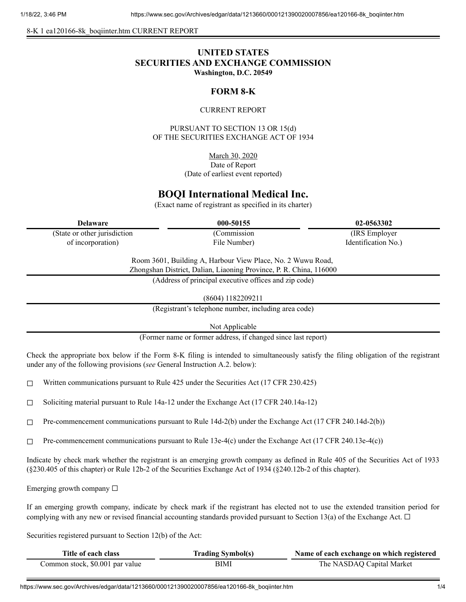8-K 1 ea120166-8k\_boqiinter.htm CURRENT REPORT

# **UNITED STATES SECURITIES AND EXCHANGE COMMISSION Washington, D.C. 20549**

# **FORM 8-K**

### CURRENT REPORT

PURSUANT TO SECTION 13 OR 15(d) OF THE SECURITIES EXCHANGE ACT OF 1934

> March 30, 2020 Date of Report (Date of earliest event reported)

# **BOQI International Medical Inc.**

(Exact name of registrant as specified in its charter)

**Delaware 000-50155 02-0563302**

(State or other jurisdiction of incorporation)

(Commission File Number)

(IRS Employer Identification No.)

Room 3601, Building A, Harbour View Place, No. 2 Wuwu Road, Zhongshan District, Dalian, Liaoning Province, P. R. China, 116000

(Address of principal executive offices and zip code)

(8604) 1182209211

(Registrant's telephone number, including area code)

Not Applicable

(Former name or former address, if changed since last report)

Check the appropriate box below if the Form 8-K filing is intended to simultaneously satisfy the filing obligation of the registrant under any of the following provisions (*see* General Instruction A.2. below):

 $\Box$  Written communications pursuant to Rule 425 under the Securities Act (17 CFR 230.425)

□ Soliciting material pursuant to Rule  $14a-12$  under the Exchange Act (17 CFR 240.14a-12)

☐ Pre-commencement communications pursuant to Rule 14d-2(b) under the Exchange Act (17 CFR 240.14d-2(b))

 $\Box$  Pre-commencement communications pursuant to Rule 13e-4(c) under the Exchange Act (17 CFR 240.13e-4(c))

Indicate by check mark whether the registrant is an emerging growth company as defined in Rule 405 of the Securities Act of 1933 (§230.405 of this chapter) or Rule 12b-2 of the Securities Exchange Act of 1934 (§240.12b-2 of this chapter).

Emerging growth company  $\Box$ 

If an emerging growth company, indicate by check mark if the registrant has elected not to use the extended transition period for complying with any new or revised financial accounting standards provided pursuant to Section 13(a) of the Exchange Act.  $\Box$ 

Securities registered pursuant to Section 12(b) of the Act:

| Title of each class             | <b>Trading Symbol(s)</b> | Name of each exchange on which registered |
|---------------------------------|--------------------------|-------------------------------------------|
| Common stock, \$0.001 par value | BIMI                     | The NASDAQ Capital Market                 |

https://www.sec.gov/Archives/edgar/data/1213660/000121390020007856/ea120166-8k\_boqiinter.htm 1/4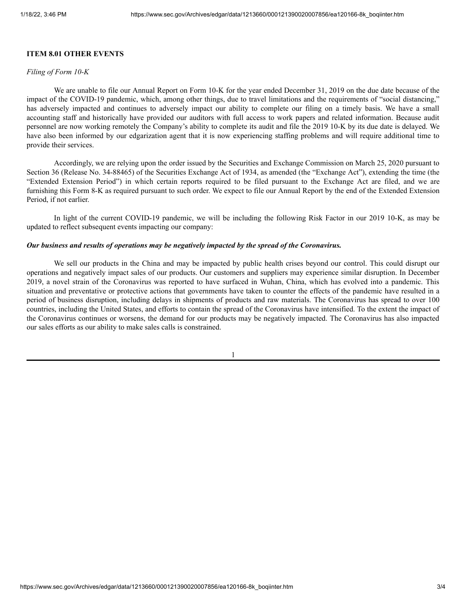## **ITEM 8.01 OTHER EVENTS**

#### *Filing of Form 10-K*

We are unable to file our Annual Report on Form 10-K for the year ended December 31, 2019 on the due date because of the impact of the COVID-19 pandemic, which, among other things, due to travel limitations and the requirements of "social distancing," has adversely impacted and continues to adversely impact our ability to complete our filing on a timely basis. We have a small accounting staff and historically have provided our auditors with full access to work papers and related information. Because audit personnel are now working remotely the Company's ability to complete its audit and file the 2019 10-K by its due date is delayed. We have also been informed by our edgarization agent that it is now experiencing staffing problems and will require additional time to provide their services.

Accordingly, we are relying upon the order issued by the Securities and Exchange Commission on March 25, 2020 pursuant to Section 36 (Release No. 34-88465) of the Securities Exchange Act of 1934, as amended (the "Exchange Act"), extending the time (the "Extended Extension Period") in which certain reports required to be filed pursuant to the Exchange Act are filed, and we are furnishing this Form 8-K as required pursuant to such order. We expect to file our Annual Report by the end of the Extended Extension Period, if not earlier.

In light of the current COVID-19 pandemic, we will be including the following Risk Factor in our 2019 10-K, as may be updated to reflect subsequent events impacting our company:

#### *Our business and results of operations may be negatively impacted by the spread of the Coronavirus.*

We sell our products in the China and may be impacted by public health crises beyond our control. This could disrupt our operations and negatively impact sales of our products. Our customers and suppliers may experience similar disruption. In December 2019, a novel strain of the Coronavirus was reported to have surfaced in Wuhan, China, which has evolved into a pandemic. This situation and preventative or protective actions that governments have taken to counter the effects of the pandemic have resulted in a period of business disruption, including delays in shipments of products and raw materials. The Coronavirus has spread to over 100 countries, including the United States, and efforts to contain the spread of the Coronavirus have intensified. To the extent the impact of the Coronavirus continues or worsens, the demand for our products may be negatively impacted. The Coronavirus has also impacted our sales efforts as our ability to make sales calls is constrained.

1